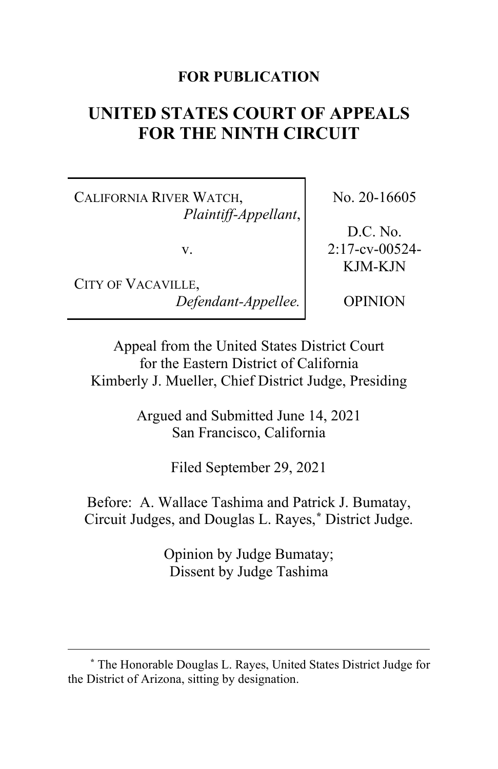## **FOR PUBLICATION**

# **UNITED STATES COURT OF APPEALS FOR THE NINTH CIRCUIT**

CALIFORNIA RIVER WATCH, *Plaintiff-Appellant*,

v.

CITY OF VACAVILLE, *Defendant-Appellee.* No. 20-16605

D.C. No. 2:17-cv-00524- KJM-KJN

OPINION

Appeal from the United States District Court for the Eastern District of California Kimberly J. Mueller, Chief District Judge, Presiding

> Argued and Submitted June 14, 2021 San Francisco, California

> > Filed September 29, 2021

Before: A. Wallace Tashima and Patrick J. Bumatay, Circuit Judges, and Douglas L. Rayes,**[\\*](#page-0-0)** District Judge.

> Opinion by Judge Bumatay; Dissent by Judge Tashima

<span id="page-0-0"></span>**<sup>\*</sup>** The Honorable Douglas L. Rayes, United States District Judge for the District of Arizona, sitting by designation.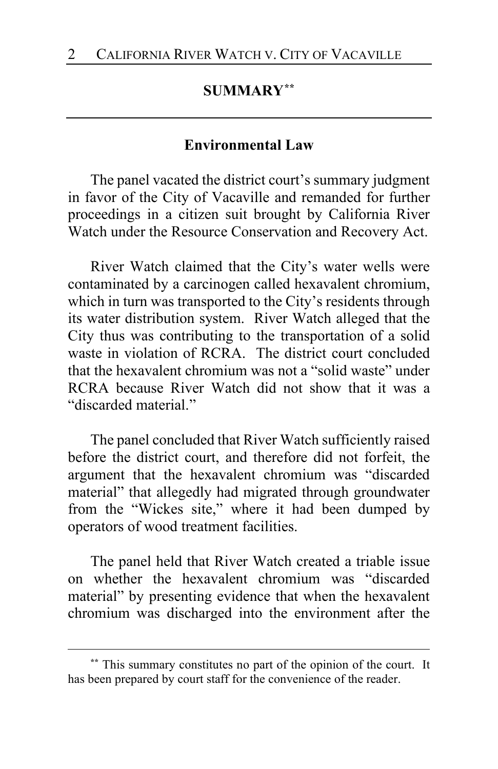# **SUMMARY[\\*\\*](#page-1-0)**

#### **Environmental Law**

The panel vacated the district court's summary judgment in favor of the City of Vacaville and remanded for further proceedings in a citizen suit brought by California River Watch under the Resource Conservation and Recovery Act.

River Watch claimed that the City's water wells were contaminated by a carcinogen called hexavalent chromium, which in turn was transported to the City's residents through its water distribution system. River Watch alleged that the City thus was contributing to the transportation of a solid waste in violation of RCRA. The district court concluded that the hexavalent chromium was not a "solid waste" under RCRA because River Watch did not show that it was a "discarded material."

The panel concluded that River Watch sufficiently raised before the district court, and therefore did not forfeit, the argument that the hexavalent chromium was "discarded material" that allegedly had migrated through groundwater from the "Wickes site," where it had been dumped by operators of wood treatment facilities.

The panel held that River Watch created a triable issue on whether the hexavalent chromium was "discarded material" by presenting evidence that when the hexavalent chromium was discharged into the environment after the

<span id="page-1-0"></span>**<sup>\*\*</sup>** This summary constitutes no part of the opinion of the court. It has been prepared by court staff for the convenience of the reader.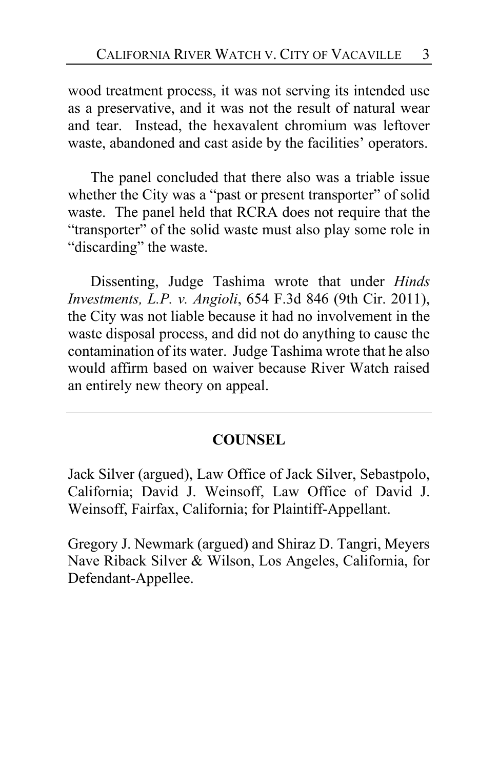wood treatment process, it was not serving its intended use as a preservative, and it was not the result of natural wear and tear. Instead, the hexavalent chromium was leftover waste, abandoned and cast aside by the facilities' operators.

The panel concluded that there also was a triable issue whether the City was a "past or present transporter" of solid waste. The panel held that RCRA does not require that the "transporter" of the solid waste must also play some role in "discarding" the waste.

Dissenting, Judge Tashima wrote that under *Hinds Investments, L.P. v. Angioli*, 654 F.3d 846 (9th Cir. 2011), the City was not liable because it had no involvement in the waste disposal process, and did not do anything to cause the contamination of its water. Judge Tashima wrote that he also would affirm based on waiver because River Watch raised an entirely new theory on appeal.

## **COUNSEL**

Jack Silver (argued), Law Office of Jack Silver, Sebastpolo, California; David J. Weinsoff, Law Office of David J. Weinsoff, Fairfax, California; for Plaintiff-Appellant.

Gregory J. Newmark (argued) and Shiraz D. Tangri, Meyers Nave Riback Silver & Wilson, Los Angeles, California, for Defendant-Appellee.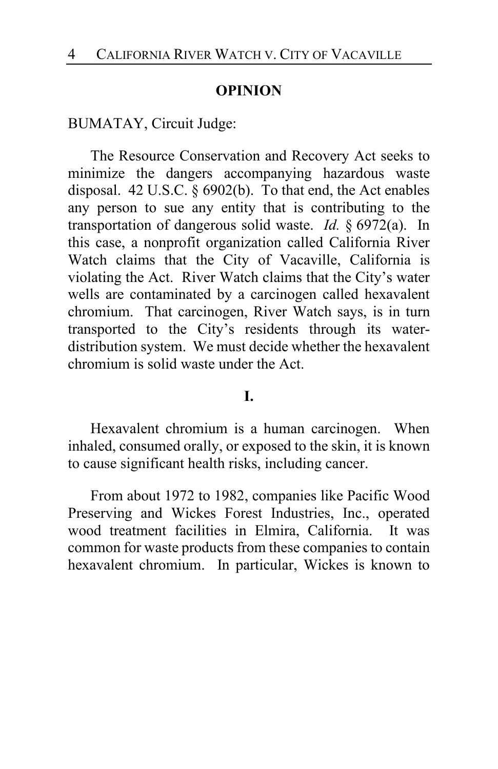#### **OPINION**

BUMATAY, Circuit Judge:

The Resource Conservation and Recovery Act seeks to minimize the dangers accompanying hazardous waste disposal. 42 U.S.C. § 6902(b). To that end, the Act enables any person to sue any entity that is contributing to the transportation of dangerous solid waste. *Id.* § 6972(a). In this case, a nonprofit organization called California River Watch claims that the City of Vacaville, California is violating the Act. River Watch claims that the City's water wells are contaminated by a carcinogen called hexavalent chromium. That carcinogen, River Watch says, is in turn transported to the City's residents through its waterdistribution system. We must decide whether the hexavalent chromium is solid waste under the Act.

#### **I.**

Hexavalent chromium is a human carcinogen. When inhaled, consumed orally, or exposed to the skin, it is known to cause significant health risks, including cancer.

From about 1972 to 1982, companies like Pacific Wood Preserving and Wickes Forest Industries, Inc., operated wood treatment facilities in Elmira, California. It was common for waste products from these companies to contain hexavalent chromium. In particular, Wickes is known to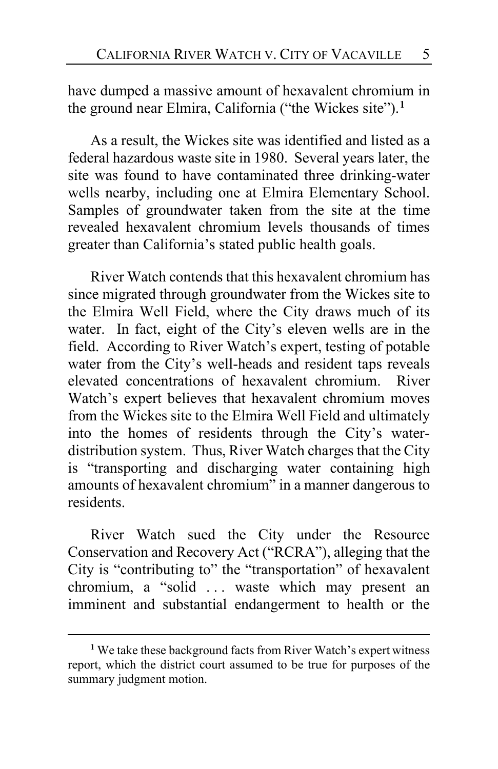have dumped a massive amount of hexavalent chromium in the ground near Elmira, California ("the Wickes site").**[1](#page-4-0)**

As a result, the Wickes site was identified and listed as a federal hazardous waste site in 1980. Several years later, the site was found to have contaminated three drinking-water wells nearby, including one at Elmira Elementary School. Samples of groundwater taken from the site at the time revealed hexavalent chromium levels thousands of times greater than California's stated public health goals.

River Watch contends that this hexavalent chromium has since migrated through groundwater from the Wickes site to the Elmira Well Field, where the City draws much of its water. In fact, eight of the City's eleven wells are in the field. According to River Watch's expert, testing of potable water from the City's well-heads and resident taps reveals elevated concentrations of hexavalent chromium. River Watch's expert believes that hexavalent chromium moves from the Wickes site to the Elmira Well Field and ultimately into the homes of residents through the City's waterdistribution system. Thus, River Watch charges that the City is "transporting and discharging water containing high amounts of hexavalent chromium" in a manner dangerous to residents.

River Watch sued the City under the Resource Conservation and Recovery Act ("RCRA"), alleging that the City is "contributing to" the "transportation" of hexavalent chromium, a "solid . . . waste which may present an imminent and substantial endangerment to health or the

<span id="page-4-0"></span>**<sup>1</sup>** We take these background facts from River Watch's expert witness report, which the district court assumed to be true for purposes of the summary judgment motion.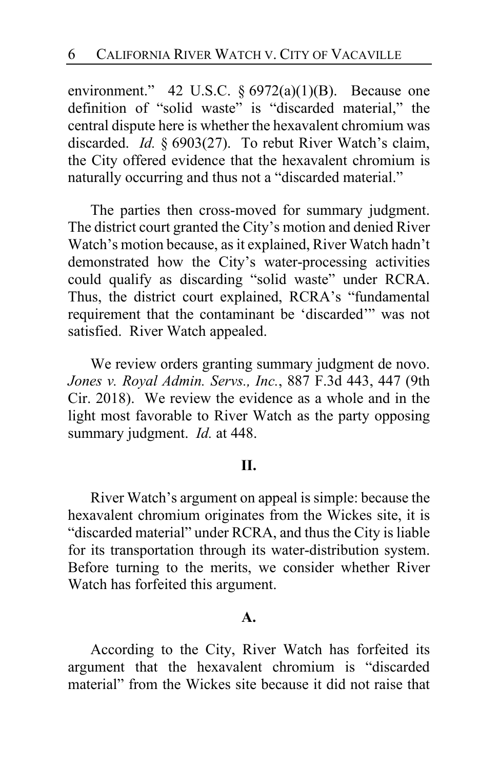environment." 42 U.S.C. § 6972(a)(1)(B). Because one definition of "solid waste" is "discarded material," the central dispute here is whether the hexavalent chromium was discarded. *Id.* § 6903(27). To rebut River Watch's claim, the City offered evidence that the hexavalent chromium is naturally occurring and thus not a "discarded material."

The parties then cross-moved for summary judgment. The district court granted the City's motion and denied River Watch's motion because, as it explained, River Watch hadn't demonstrated how the City's water-processing activities could qualify as discarding "solid waste" under RCRA. Thus, the district court explained, RCRA's "fundamental requirement that the contaminant be 'discarded'" was not satisfied. River Watch appealed.

We review orders granting summary judgment de novo. *Jones v. Royal Admin. Servs., Inc.*, 887 F.3d 443, 447 (9th Cir. 2018). We review the evidence as a whole and in the light most favorable to River Watch as the party opposing summary judgment. *Id.* at 448.

#### **II.**

River Watch's argument on appeal is simple: because the hexavalent chromium originates from the Wickes site, it is "discarded material" under RCRA, and thus the City is liable for its transportation through its water-distribution system. Before turning to the merits, we consider whether River Watch has forfeited this argument.

#### **A.**

According to the City, River Watch has forfeited its argument that the hexavalent chromium is "discarded material" from the Wickes site because it did not raise that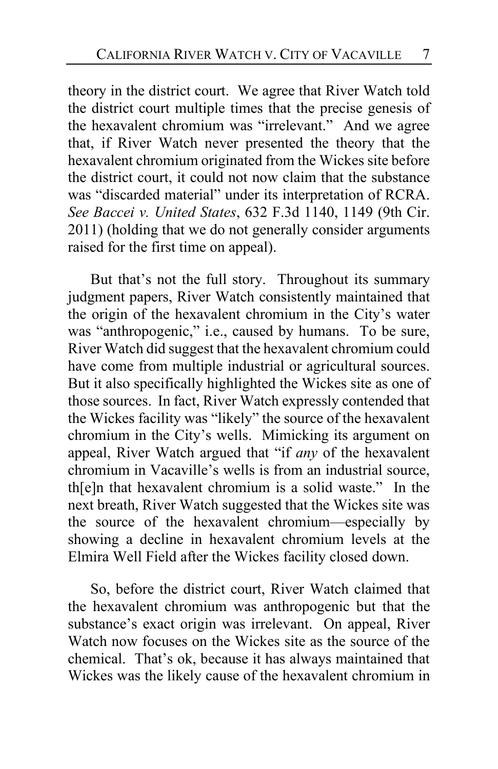theory in the district court. We agree that River Watch told the district court multiple times that the precise genesis of the hexavalent chromium was "irrelevant." And we agree that, if River Watch never presented the theory that the hexavalent chromium originated from the Wickes site before the district court, it could not now claim that the substance was "discarded material" under its interpretation of RCRA. *See Baccei v. United States*, 632 F.3d 1140, 1149 (9th Cir. 2011) (holding that we do not generally consider arguments raised for the first time on appeal).

But that's not the full story. Throughout its summary judgment papers, River Watch consistently maintained that the origin of the hexavalent chromium in the City's water was "anthropogenic," i.e., caused by humans. To be sure, River Watch did suggest that the hexavalent chromium could have come from multiple industrial or agricultural sources. But it also specifically highlighted the Wickes site as one of those sources. In fact, River Watch expressly contended that the Wickes facility was "likely" the source of the hexavalent chromium in the City's wells. Mimicking its argument on appeal, River Watch argued that "if *any* of the hexavalent chromium in Vacaville's wells is from an industrial source, th[e]n that hexavalent chromium is a solid waste." In the next breath, River Watch suggested that the Wickes site was the source of the hexavalent chromium—especially by showing a decline in hexavalent chromium levels at the Elmira Well Field after the Wickes facility closed down.

So, before the district court, River Watch claimed that the hexavalent chromium was anthropogenic but that the substance's exact origin was irrelevant. On appeal, River Watch now focuses on the Wickes site as the source of the chemical. That's ok, because it has always maintained that Wickes was the likely cause of the hexavalent chromium in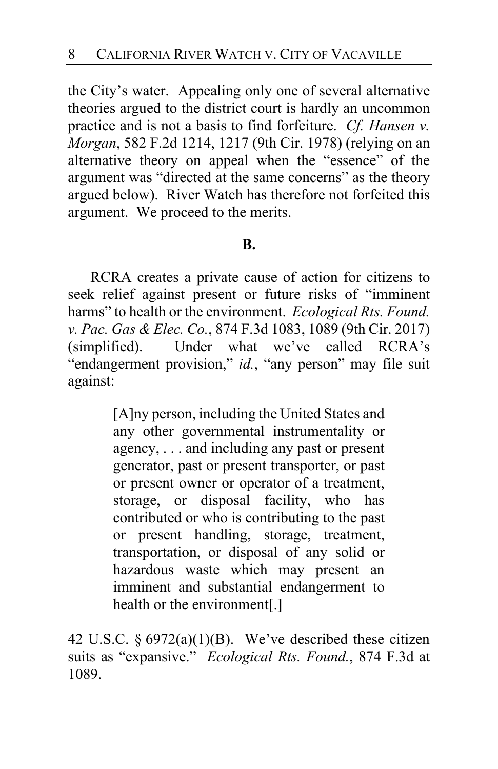the City's water. Appealing only one of several alternative theories argued to the district court is hardly an uncommon practice and is not a basis to find forfeiture. *Cf. Hansen v. Morgan*, 582 F.2d 1214, 1217 (9th Cir. 1978) (relying on an alternative theory on appeal when the "essence" of the argument was "directed at the same concerns" as the theory argued below). River Watch has therefore not forfeited this argument. We proceed to the merits.

#### **B.**

RCRA creates a private cause of action for citizens to seek relief against present or future risks of "imminent harms" to health or the environment. *Ecological Rts. Found. v. Pac. Gas & Elec. Co.*, 874 F.3d 1083, 1089 (9th Cir. 2017) (simplified). Under what we've called RCRA's "endangerment provision," *id.*, "any person" may file suit against:

> [A]ny person, including the United States and any other governmental instrumentality or agency, . . . and including any past or present generator, past or present transporter, or past or present owner or operator of a treatment, storage, or disposal facility, who has contributed or who is contributing to the past or present handling, storage, treatment, transportation, or disposal of any solid or hazardous waste which may present an imminent and substantial endangerment to health or the environment[.]

42 U.S.C.  $\S 6972(a)(1)(B)$ . We've described these citizen suits as "expansive." *Ecological Rts. Found.*, 874 F.3d at 1089.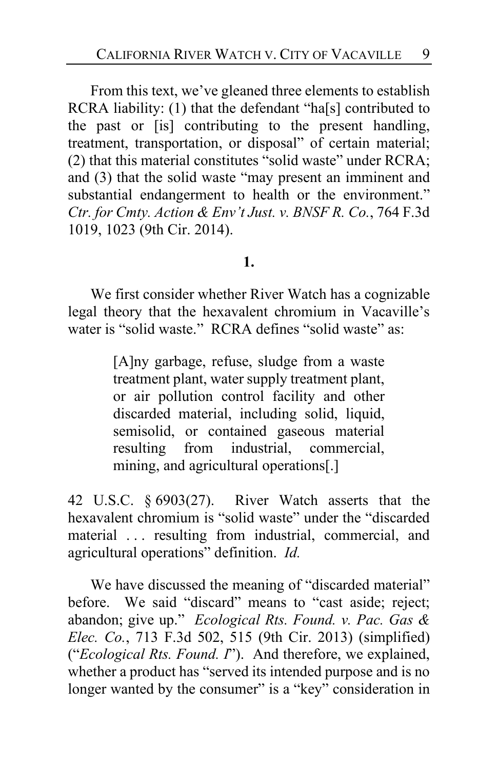From this text, we've gleaned three elements to establish RCRA liability: (1) that the defendant "ha[s] contributed to the past or [is] contributing to the present handling, treatment, transportation, or disposal" of certain material; (2) that this material constitutes "solid waste" under RCRA; and (3) that the solid waste "may present an imminent and substantial endangerment to health or the environment." *Ctr. for Cmty. Action & Env't Just. v. BNSF R. Co.*, 764 F.3d 1019, 1023 (9th Cir. 2014).

#### **1.**

We first consider whether River Watch has a cognizable legal theory that the hexavalent chromium in Vacaville's water is "solid waste." RCRA defines "solid waste" as:

> [A]ny garbage, refuse, sludge from a waste treatment plant, water supply treatment plant, or air pollution control facility and other discarded material, including solid, liquid, semisolid, or contained gaseous material resulting from industrial, commercial, mining, and agricultural operations[.]

42 U.S.C. § 6903(27). River Watch asserts that the hexavalent chromium is "solid waste" under the "discarded material . . . resulting from industrial, commercial, and agricultural operations" definition. *Id.*

We have discussed the meaning of "discarded material" before. We said "discard" means to "cast aside; reject; abandon; give up." *Ecological Rts. Found. v. Pac. Gas & Elec. Co.*, 713 F.3d 502, 515 (9th Cir. 2013) (simplified) ("*Ecological Rts. Found. I*"). And therefore, we explained, whether a product has "served its intended purpose and is no longer wanted by the consumer" is a "key" consideration in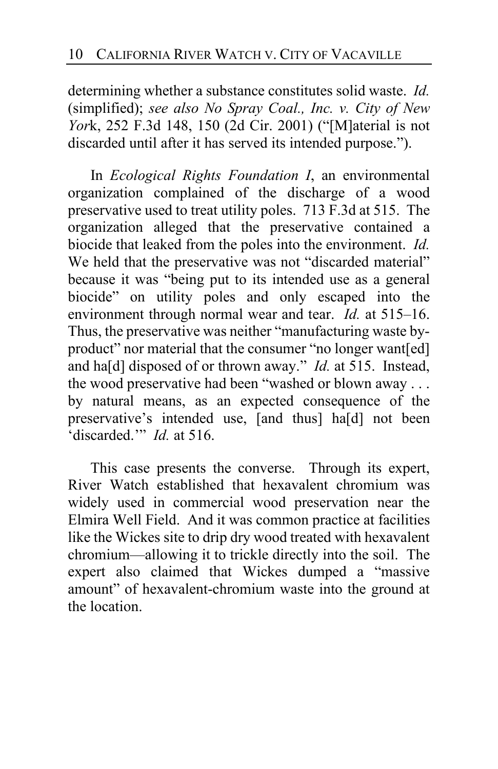determining whether a substance constitutes solid waste. *Id.*  (simplified); *see also No Spray Coal., Inc. v. City of New Yor*k, 252 F.3d 148, 150 (2d Cir. 2001) ("[M]aterial is not discarded until after it has served its intended purpose.").

In *Ecological Rights Foundation I*, an environmental organization complained of the discharge of a wood preservative used to treat utility poles. 713 F.3d at 515. The organization alleged that the preservative contained a biocide that leaked from the poles into the environment. *Id.* We held that the preservative was not "discarded material" because it was "being put to its intended use as a general biocide" on utility poles and only escaped into the environment through normal wear and tear. *Id.* at 515–16. Thus, the preservative was neither "manufacturing waste byproduct" nor material that the consumer "no longer want[ed] and ha[d] disposed of or thrown away." *Id.* at 515. Instead, the wood preservative had been "washed or blown away . . . by natural means, as an expected consequence of the preservative's intended use, [and thus] ha[d] not been 'discarded.'" *Id.* at 516.

This case presents the converse. Through its expert, River Watch established that hexavalent chromium was widely used in commercial wood preservation near the Elmira Well Field. And it was common practice at facilities like the Wickes site to drip dry wood treated with hexavalent chromium—allowing it to trickle directly into the soil. The expert also claimed that Wickes dumped a "massive amount" of hexavalent-chromium waste into the ground at the location.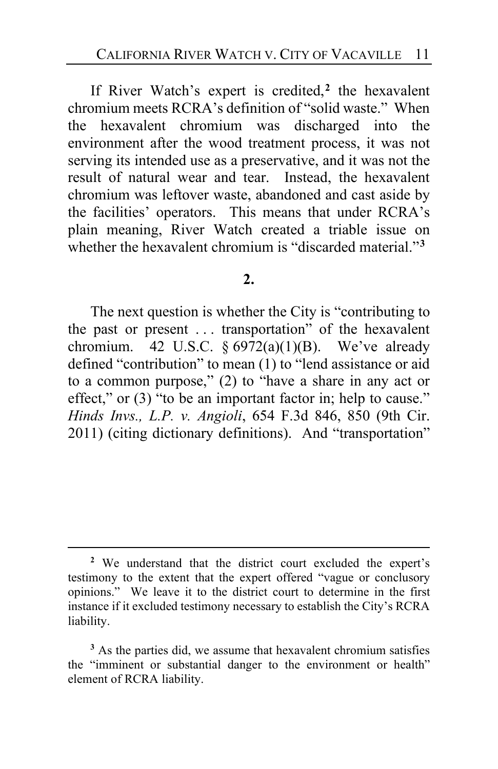If River Watch's expert is credited,**[2](#page-10-0)** the hexavalent chromium meets RCRA's definition of "solid waste." When the hexavalent chromium was discharged into the environment after the wood treatment process, it was not serving its intended use as a preservative, and it was not the result of natural wear and tear. Instead, the hexavalent chromium was leftover waste, abandoned and cast aside by the facilities' operators. This means that under RCRA's plain meaning, River Watch created a triable issue on whether the hexavalent chromium is "discarded material."**[3](#page-10-1)**

#### **2.**

The next question is whether the City is "contributing to the past or present . . . transportation" of the hexavalent chromium. 42 U.S.C.  $\frac{6972(a)(1)(B)}{B}$ . We've already defined "contribution" to mean (1) to "lend assistance or aid to a common purpose," (2) to "have a share in any act or effect," or (3) "to be an important factor in; help to cause." *Hinds Invs., L.P. v. Angioli*, 654 F.3d 846, 850 (9th Cir. 2011) (citing dictionary definitions). And "transportation"

<span id="page-10-0"></span>**<sup>2</sup>** We understand that the district court excluded the expert's testimony to the extent that the expert offered "vague or conclusory opinions." We leave it to the district court to determine in the first instance if it excluded testimony necessary to establish the City's RCRA liability.

<span id="page-10-1"></span><sup>&</sup>lt;sup>3</sup> As the parties did, we assume that hexavalent chromium satisfies the "imminent or substantial danger to the environment or health" element of RCRA liability.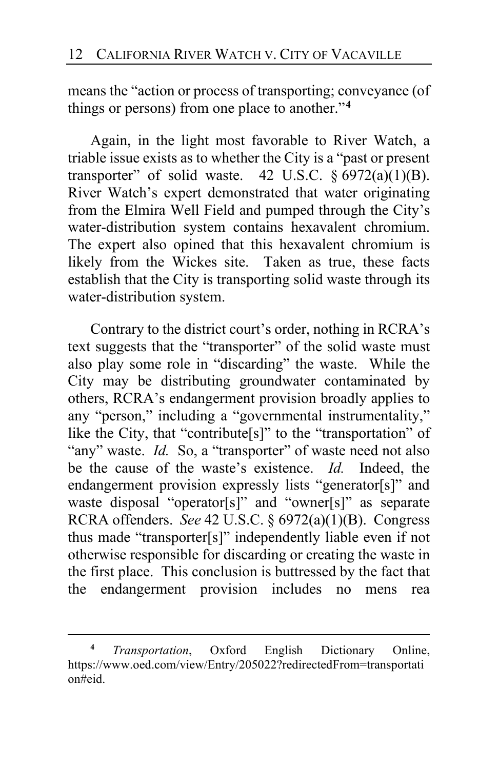means the "action or process of transporting; conveyance (of things or persons) from one place to another."**[4](#page-11-0)**

Again, in the light most favorable to River Watch, a triable issue exists as to whether the City is a "past or present transporter" of solid waste. 42 U.S.C.  $\S$  6972(a)(1)(B). River Watch's expert demonstrated that water originating from the Elmira Well Field and pumped through the City's water-distribution system contains hexavalent chromium. The expert also opined that this hexavalent chromium is likely from the Wickes site. Taken as true, these facts establish that the City is transporting solid waste through its water-distribution system.

Contrary to the district court's order, nothing in RCRA's text suggests that the "transporter" of the solid waste must also play some role in "discarding" the waste. While the City may be distributing groundwater contaminated by others, RCRA's endangerment provision broadly applies to any "person," including a "governmental instrumentality," like the City, that "contribute[s]" to the "transportation" of "any" waste. *Id.* So, a "transporter" of waste need not also be the cause of the waste's existence. *Id.* Indeed, the endangerment provision expressly lists "generator[s]" and waste disposal "operator[s]" and "owner[s]" as separate RCRA offenders. *See* 42 U.S.C. § 6972(a)(1)(B). Congress thus made "transporter[s]" independently liable even if not otherwise responsible for discarding or creating the waste in the first place. This conclusion is buttressed by the fact that the endangerment provision includes no mens rea

<span id="page-11-0"></span>**<sup>4</sup>** *Transportation*, Oxford English Dictionary Online, https://www.oed.com/view/Entry/205022?redirectedFrom=transportati on#eid.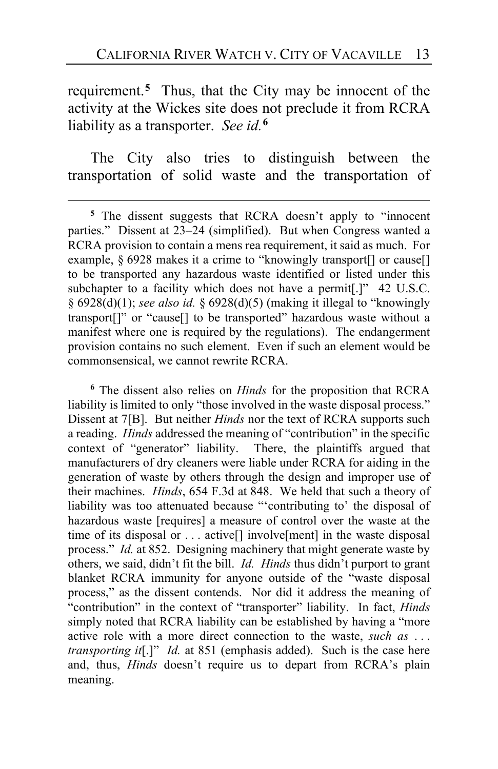requirement.**[5](#page-12-0)** Thus, that the City may be innocent of the activity at the Wickes site does not preclude it from RCRA liability as a transporter. *See id.***[6](#page-12-1)**

The City also tries to distinguish between the transportation of solid waste and the transportation of

<span id="page-12-2"></span><span id="page-12-1"></span>**<sup>6</sup>** The dissent also relies on *Hinds* for the proposition that RCRA liability is limited to only "those involved in the waste disposal process." Dissent at 7[B]. But neither *Hinds* nor the text of RCRA supports such a reading. *Hinds* addressed the meaning of "contribution" in the specific context of "generator" liability. There, the plaintiffs argued that manufacturers of dry cleaners were liable under RCRA for aiding in the generation of waste by others through the design and improper use of their machines. *Hinds*, 654 F.3d at 848. We held that such a theory of liability was too attenuated because "'contributing to' the disposal of hazardous waste [requires] a measure of control over the waste at the time of its disposal or . . . active[] involve[ment] in the waste disposal process." *Id.* at 852. Designing machinery that might generate waste by others, we said, didn't fit the bill. *Id. Hinds* thus didn't purport to grant blanket RCRA immunity for anyone outside of the "waste disposal process," as the dissent contends. Nor did it address the meaning of "contribution" in the context of "transporter" liability. In fact, *Hinds* simply noted that RCRA liability can be established by having a "more active role with a more direct connection to the waste, *such as* . . . *transporting it*[.]" *Id.* at 851 (emphasis added). Such is the case here and, thus, *Hinds* doesn't require us to depart from RCRA's plain meaning.

<span id="page-12-0"></span>**<sup>5</sup>** The dissent suggests that RCRA doesn't apply to "innocent parties." Dissent at [23–](#page-22-0)[24](#page-23-0) (simplified). But when Congress wanted a RCRA provision to contain a mens rea requirement, it said as much. For example, § 6928 makes it a crime to "knowingly transport[] or cause[] to be transported any hazardous waste identified or listed under this subchapter to a facility which does not have a permit<sup>[.]"</sup> 42 U.S.C. § 6928(d)(1); *see also id.* § 6928(d)(5) (making it illegal to "knowingly transport[]" or "cause[] to be transported" hazardous waste without a manifest where one is required by the regulations). The endangerment provision contains no such element. Even if such an element would be commonsensical, we cannot rewrite RCRA.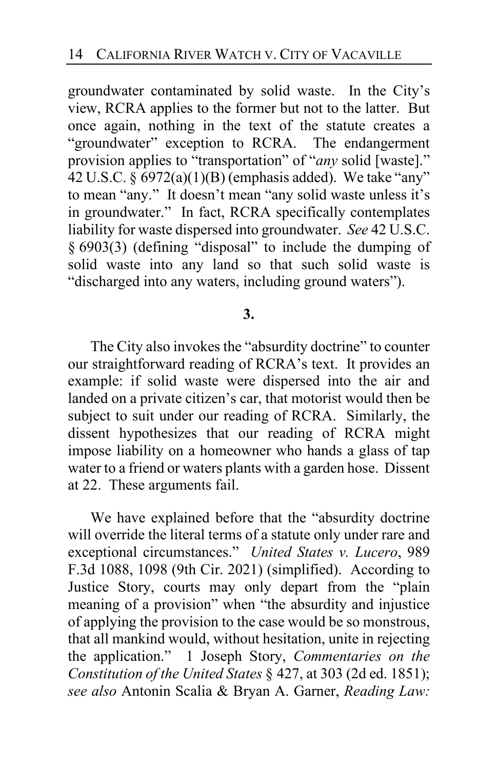groundwater contaminated by solid waste. In the City's view, RCRA applies to the former but not to the latter. But once again, nothing in the text of the statute creates a "groundwater" exception to RCRA. The endangerment provision applies to "transportation" of "*any* solid [waste]." 42 U.S.C. § 6972(a)(1)(B) (emphasis added). We take "any" to mean "any." It doesn't mean "any solid waste unless it's in groundwater." In fact, RCRA specifically contemplates liability for waste dispersed into groundwater. *See* 42 U.S.C. § 6903(3) (defining "disposal" to include the dumping of solid waste into any land so that such solid waste is "discharged into any waters, including ground waters").

## **3.**

The City also invokes the "absurdity doctrine" to counter our straightforward reading of RCRA's text. It provides an example: if solid waste were dispersed into the air and landed on a private citizen's car, that motorist would then be subject to suit under our reading of RCRA. Similarly, the dissent hypothesizes that our reading of RCRA might impose liability on a homeowner who hands a glass of tap water to a friend or waters plants with a garden hose. Dissent at [22.](#page-21-0) These arguments fail.

We have explained before that the "absurdity doctrine will override the literal terms of a statute only under rare and exceptional circumstances." *United States v. Lucero*, 989 F.3d 1088, 1098 (9th Cir. 2021) (simplified). According to Justice Story, courts may only depart from the "plain meaning of a provision" when "the absurdity and injustice of applying the provision to the case would be so monstrous, that all mankind would, without hesitation, unite in rejecting the application." 1 Joseph Story, *Commentaries on the Constitution of the United States* § 427, at 303 (2d ed. 1851); *see also* Antonin Scalia & Bryan A. Garner, *Reading Law:*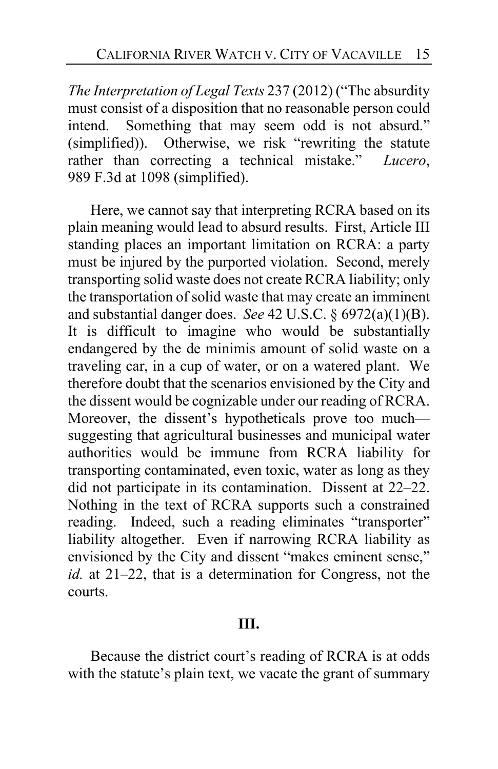*The Interpretation of Legal Texts* 237 (2012) ("The absurdity must consist of a disposition that no reasonable person could intend. Something that may seem odd is not absurd." (simplified)). Otherwise, we risk "rewriting the statute rather than correcting a technical mistake." *Lucero*, 989 F.3d at 1098 (simplified).

<span id="page-14-1"></span><span id="page-14-0"></span>Here, we cannot say that interpreting RCRA based on its plain meaning would lead to absurd results. First, Article III standing places an important limitation on RCRA: a party must be injured by the purported violation. Second, merely transporting solid waste does not create RCRA liability; only the transportation of solid waste that may create an imminent and substantial danger does. *See* 42 U.S.C. § 6972(a)(1)(B). It is difficult to imagine who would be substantially endangered by the de minimis amount of solid waste on a traveling car, in a cup of water, or on a watered plant. We therefore doubt that the scenarios envisioned by the City and the dissent would be cognizable under our reading of RCRA. Moreover, the dissent's hypotheticals prove too much suggesting that agricultural businesses and municipal water authorities would be immune from RCRA liability for transporting contaminated, even toxic, water as long as they did not participate in its contamination. Dissent at [22](#page-21-1)[–22.](#page-21-2) Nothing in the text of RCRA supports such a constrained reading. Indeed, such a reading eliminates "transporter" liability altogether. Even if narrowing RCRA liability as envisioned by the City and dissent "makes eminent sense," *id.* at [21–](#page-20-0)[22,](#page-21-3) that is a determination for Congress, not the courts.

#### **III.**

Because the district court's reading of RCRA is at odds with the statute's plain text, we vacate the grant of summary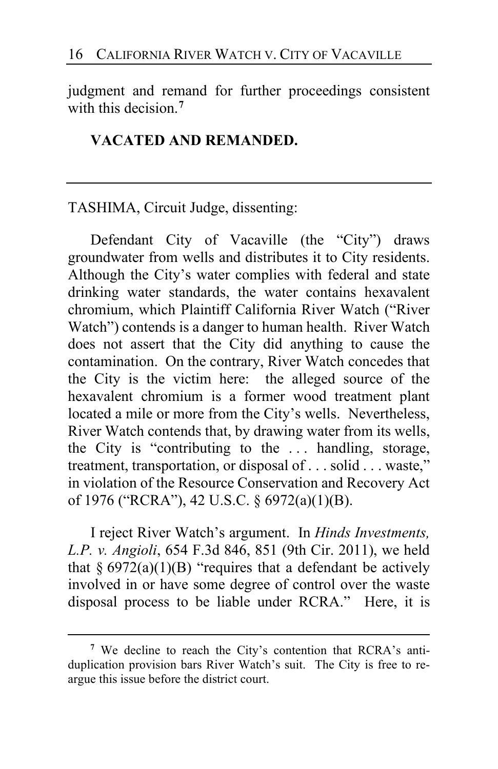judgment and remand for further proceedings consistent with this decision.**[7](#page-15-0)**

## **VACATED AND REMANDED.**

TASHIMA, Circuit Judge, dissenting:

Defendant City of Vacaville (the "City") draws groundwater from wells and distributes it to City residents. Although the City's water complies with federal and state drinking water standards, the water contains hexavalent chromium, which Plaintiff California River Watch ("River Watch") contends is a danger to human health. River Watch does not assert that the City did anything to cause the contamination. On the contrary, River Watch concedes that the City is the victim here: the alleged source of the hexavalent chromium is a former wood treatment plant located a mile or more from the City's wells. Nevertheless, River Watch contends that, by drawing water from its wells, the City is "contributing to the . . . handling, storage, treatment, transportation, or disposal of . . . solid . . . waste," in violation of the Resource Conservation and Recovery Act of 1976 ("RCRA"), 42 U.S.C. § 6972(a)(1)(B).

I reject River Watch's argument. In *Hinds Investments, L.P. v. Angioli*, 654 F.3d 846, 851 (9th Cir. 2011), we held that  $\S 6972(a)(1)(B)$  "requires that a defendant be actively involved in or have some degree of control over the waste disposal process to be liable under RCRA." Here, it is

<span id="page-15-1"></span><span id="page-15-0"></span>**<sup>7</sup>** We decline to reach the City's contention that RCRA's antiduplication provision bars River Watch's suit. The City is free to reargue this issue before the district court.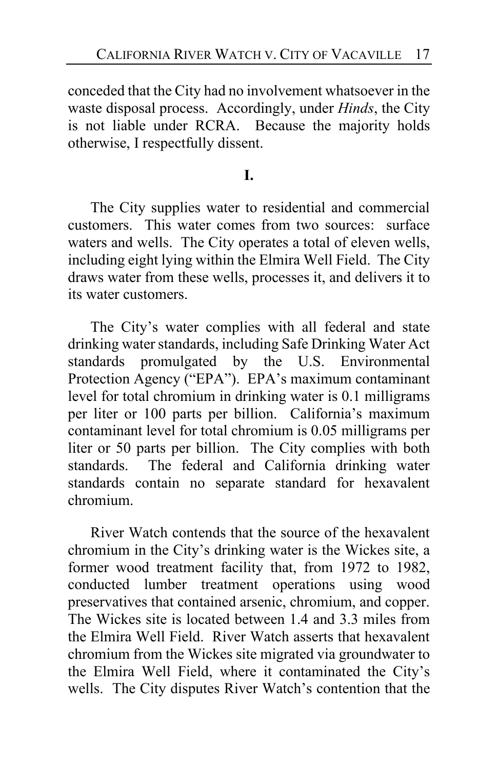conceded that the City had no involvement whatsoever in the waste disposal process. Accordingly, under *Hinds*, the City is not liable under RCRA. Because the majority holds otherwise, I respectfully dissent.

# **I.**

The City supplies water to residential and commercial customers. This water comes from two sources: surface waters and wells. The City operates a total of eleven wells, including eight lying within the Elmira Well Field. The City draws water from these wells, processes it, and delivers it to its water customers.

The City's water complies with all federal and state drinking water standards, including Safe Drinking Water Act standards promulgated by the U.S. Environmental Protection Agency ("EPA"). EPA's maximum contaminant level for total chromium in drinking water is 0.1 milligrams per liter or 100 parts per billion. California's maximum contaminant level for total chromium is 0.05 milligrams per liter or 50 parts per billion. The City complies with both standards. The federal and California drinking water standards contain no separate standard for hexavalent chromium.

River Watch contends that the source of the hexavalent chromium in the City's drinking water is the Wickes site, a former wood treatment facility that, from 1972 to 1982, conducted lumber treatment operations using wood preservatives that contained arsenic, chromium, and copper. The Wickes site is located between 1.4 and 3.3 miles from the Elmira Well Field. River Watch asserts that hexavalent chromium from the Wickes site migrated via groundwater to the Elmira Well Field, where it contaminated the City's wells. The City disputes River Watch's contention that the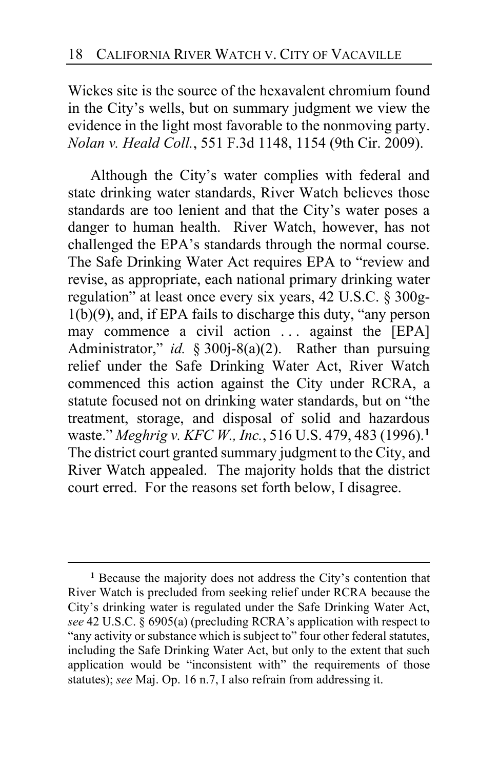Wickes site is the source of the hexavalent chromium found in the City's wells, but on summary judgment we view the evidence in the light most favorable to the nonmoving party. *Nolan v. Heald Coll.*, 551 F.3d 1148, 1154 (9th Cir. 2009).

Although the City's water complies with federal and state drinking water standards, River Watch believes those standards are too lenient and that the City's water poses a danger to human health. River Watch, however, has not challenged the EPA's standards through the normal course. The Safe Drinking Water Act requires EPA to "review and revise, as appropriate, each national primary drinking water regulation" at least once every six years, 42 U.S.C. § 300g-1(b)(9), and, if EPA fails to discharge this duty, "any person may commence a civil action  $\ldots$  against the [EPA] Administrator," *id.* § 300j-8(a)(2). Rather than pursuing relief under the Safe Drinking Water Act, River Watch commenced this action against the City under RCRA, a statute focused not on drinking water standards, but on "the treatment, storage, and disposal of solid and hazardous waste." *Meghrig v. KFC W., Inc.*, 516 U.S. 479, 483 (1996).**[1](#page-17-0)** The district court granted summary judgment to the City, and River Watch appealed. The majority holds that the district court erred. For the reasons set forth below, I disagree.

<span id="page-17-0"></span>**<sup>1</sup>** Because the majority does not address the City's contention that River Watch is precluded from seeking relief under RCRA because the City's drinking water is regulated under the Safe Drinking Water Act, *see* 42 U.S.C. § 6905(a) (precluding RCRA's application with respect to "any activity or substance which is subject to" four other federal statutes, including the Safe Drinking Water Act, but only to the extent that such application would be "inconsistent with" the requirements of those statutes); *see* Maj. Op. [16](#page-15-1) n.7, I also refrain from addressing it.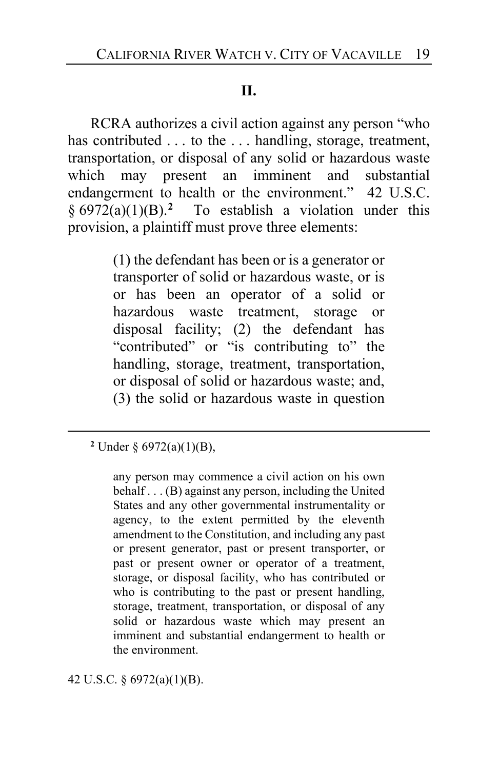## **II.**

RCRA authorizes a civil action against any person "who has contributed . . . to the . . . handling, storage, treatment, transportation, or disposal of any solid or hazardous waste which may present an imminent and substantial endangerment to health or the environment." 42 U.S.C. § 6972(a)(1)(B).**[2](#page-18-0)** To establish a violation under this provision, a plaintiff must prove three elements:

> (1) the defendant has been or is a generator or transporter of solid or hazardous waste, or is or has been an operator of a solid or hazardous waste treatment, storage or disposal facility; (2) the defendant has "contributed" or "is contributing to" the handling, storage, treatment, transportation, or disposal of solid or hazardous waste; and, (3) the solid or hazardous waste in question

<span id="page-18-0"></span>**<sup>2</sup>** Under § 6972(a)(1)(B),

any person may commence a civil action on his own behalf . . . (B) against any person, including the United States and any other governmental instrumentality or agency, to the extent permitted by the eleventh amendment to the Constitution, and including any past or present generator, past or present transporter, or past or present owner or operator of a treatment, storage, or disposal facility, who has contributed or who is contributing to the past or present handling, storage, treatment, transportation, or disposal of any solid or hazardous waste which may present an imminent and substantial endangerment to health or the environment.

42 U.S.C. § 6972(a)(1)(B).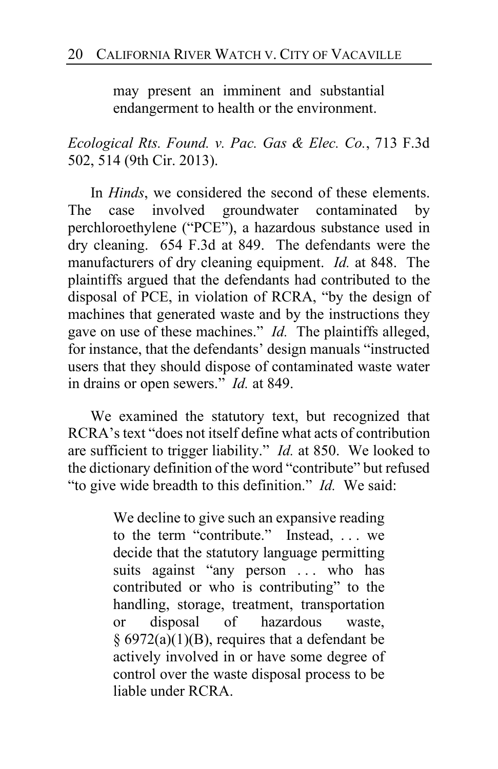may present an imminent and substantial endangerment to health or the environment.

*Ecological Rts. Found. v. Pac. Gas & Elec. Co.*, 713 F.3d 502, 514 (9th Cir. 2013).

In *Hinds*, we considered the second of these elements. The case involved groundwater contaminated by perchloroethylene ("PCE"), a hazardous substance used in dry cleaning. 654 F.3d at 849. The defendants were the manufacturers of dry cleaning equipment. *Id.* at 848. The plaintiffs argued that the defendants had contributed to the disposal of PCE, in violation of RCRA, "by the design of machines that generated waste and by the instructions they gave on use of these machines." *Id.* The plaintiffs alleged, for instance, that the defendants' design manuals "instructed users that they should dispose of contaminated waste water in drains or open sewers." *Id.* at 849.

We examined the statutory text, but recognized that RCRA's text "does not itself define what acts of contribution are sufficient to trigger liability." *Id.* at 850. We looked to the dictionary definition of the word "contribute" but refused "to give wide breadth to this definition." *Id.* We said:

> We decline to give such an expansive reading to the term "contribute." Instead, . . . we decide that the statutory language permitting suits against "any person ... who has contributed or who is contributing" to the handling, storage, treatment, transportation or disposal of hazardous waste, § 6972(a)(1)(B), requires that a defendant be actively involved in or have some degree of control over the waste disposal process to be liable under RCRA.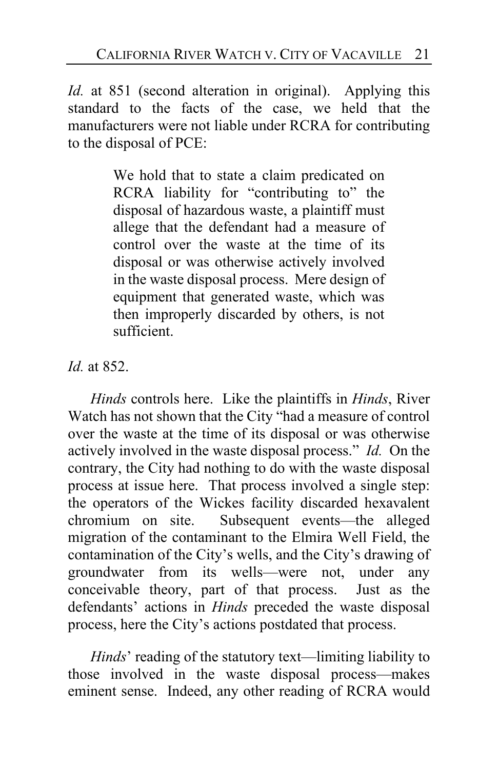*Id.* at 851 (second alteration in original). Applying this standard to the facts of the case, we held that the manufacturers were not liable under RCRA for contributing to the disposal of PCE:

> We hold that to state a claim predicated on RCRA liability for "contributing to" the disposal of hazardous waste, a plaintiff must allege that the defendant had a measure of control over the waste at the time of its disposal or was otherwise actively involved in the waste disposal process. Mere design of equipment that generated waste, which was then improperly discarded by others, is not sufficient.

*Id.* at 852.

*Hinds* controls here. Like the plaintiffs in *Hinds*, River Watch has not shown that the City "had a measure of control over the waste at the time of its disposal or was otherwise actively involved in the waste disposal process." *Id.* On the contrary, the City had nothing to do with the waste disposal process at issue here. That process involved a single step: the operators of the Wickes facility discarded hexavalent chromium on site. Subsequent events—the alleged migration of the contaminant to the Elmira Well Field, the contamination of the City's wells, and the City's drawing of groundwater from its wells—were not, under any conceivable theory, part of that process. Just as the defendants' actions in *Hinds* preceded the waste disposal process, here the City's actions postdated that process.

<span id="page-20-0"></span>*Hinds*' reading of the statutory text—limiting liability to those involved in the waste disposal process—makes eminent sense. Indeed, any other reading of RCRA would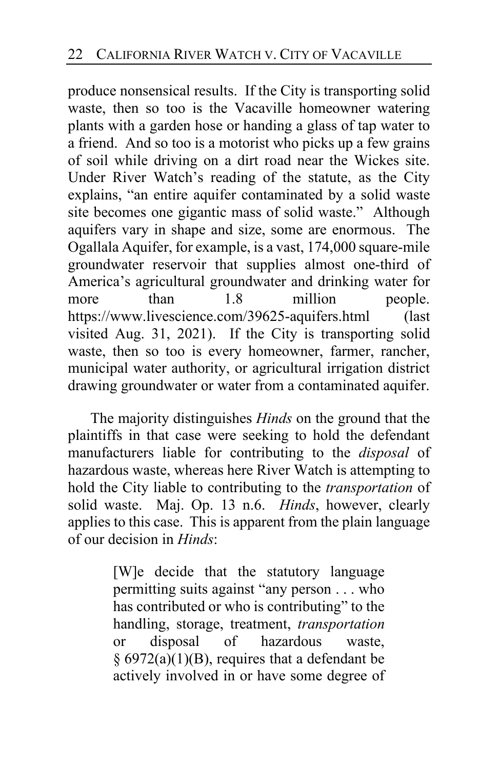<span id="page-21-3"></span><span id="page-21-0"></span>produce nonsensical results. If the City is transporting solid waste, then so too is the Vacaville homeowner watering plants with a garden hose or handing a glass of tap water to a friend. And so too is a motorist who picks up a few grains of soil while driving on a dirt road near the Wickes site. Under River Watch's reading of the statute, as the City explains, "an entire aquifer contaminated by a solid waste site becomes one gigantic mass of solid waste." Although aquifers vary in shape and size, some are enormous. The Ogallala Aquifer, for example, is a vast, 174,000 square-mile groundwater reservoir that supplies almost one-third of America's agricultural groundwater and drinking water for more than 1.8 million people. https://www.livescience.com/39625-aquifers.html (last visited Aug. 31, 2021). If the City is transporting solid waste, then so too is every homeowner, farmer, rancher, municipal water authority, or agricultural irrigation district drawing groundwater or water from a contaminated aquifer.

<span id="page-21-1"></span>The majority distinguishes *Hinds* on the ground that the plaintiffs in that case were seeking to hold the defendant manufacturers liable for contributing to the *disposal* of hazardous waste, whereas here River Watch is attempting to hold the City liable to contributing to the *transportation* of solid waste. Maj. Op. [13](#page-12-2) n.6. *Hinds*, however, clearly applies to this case. This is apparent from the plain language of our decision in *Hinds*:

> <span id="page-21-2"></span>[W]e decide that the statutory language permitting suits against "any person . . . who has contributed or who is contributing" to the handling, storage, treatment, *transportation*  or disposal of hazardous waste, § 6972(a)(1)(B), requires that a defendant be actively involved in or have some degree of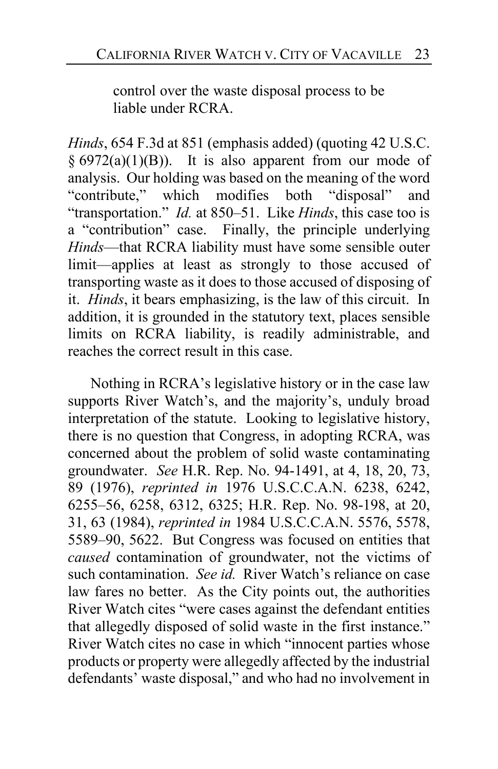control over the waste disposal process to be liable under RCRA.

*Hinds*, 654 F.3d at 851 (emphasis added) (quoting 42 U.S.C.  $§ 6972(a)(1)(B)$ . It is also apparent from our mode of analysis. Our holding was based on the meaning of the word "contribute," which modifies both "disposal" and "transportation." *Id.* at 850–51. Like *Hinds*, this case too is a "contribution" case. Finally, the principle underlying *Hinds*—that RCRA liability must have some sensible outer limit—applies at least as strongly to those accused of transporting waste as it does to those accused of disposing of it. *Hinds*, it bears emphasizing, is the law of this circuit. In addition, it is grounded in the statutory text, places sensible limits on RCRA liability, is readily administrable, and reaches the correct result in this case.

<span id="page-22-0"></span>Nothing in RCRA's legislative history or in the case law supports River Watch's, and the majority's, unduly broad interpretation of the statute. Looking to legislative history, there is no question that Congress, in adopting RCRA, was concerned about the problem of solid waste contaminating groundwater. *See* H.R. Rep. No. 94-1491, at 4, 18, 20, 73, 89 (1976), *reprinted in* 1976 U.S.C.C.A.N. 6238, 6242, 6255–56, 6258, 6312, 6325; H.R. Rep. No. 98-198, at 20, 31, 63 (1984), *reprinted in* 1984 U.S.C.C.A.N. 5576, 5578, 5589–90, 5622. But Congress was focused on entities that *caused* contamination of groundwater, not the victims of such contamination. *See id.* River Watch's reliance on case law fares no better. As the City points out, the authorities River Watch cites "were cases against the defendant entities that allegedly disposed of solid waste in the first instance." River Watch cites no case in which "innocent parties whose products or property were allegedly affected by the industrial defendants' waste disposal," and who had no involvement in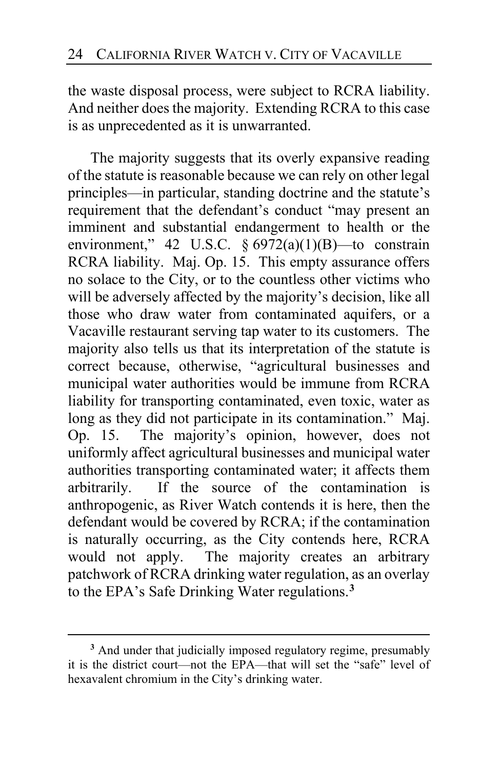<span id="page-23-0"></span>the waste disposal process, were subject to RCRA liability. And neither does the majority. Extending RCRA to this case is as unprecedented as it is unwarranted.

The majority suggests that its overly expansive reading of the statute is reasonable because we can rely on other legal principles—in particular, standing doctrine and the statute's requirement that the defendant's conduct "may present an imminent and substantial endangerment to health or the environment," 42 U.S.C.  $\S 6972(a)(1)(B)$ —to constrain RCRA liability. Maj. Op. [15.](#page-14-0) This empty assurance offers no solace to the City, or to the countless other victims who will be adversely affected by the majority's decision, like all those who draw water from contaminated aquifers, or a Vacaville restaurant serving tap water to its customers. The majority also tells us that its interpretation of the statute is correct because, otherwise, "agricultural businesses and municipal water authorities would be immune from RCRA liability for transporting contaminated, even toxic, water as long as they did not participate in its contamination." Maj. Op. [15.](#page-14-1) The majority's opinion, however, does not uniformly affect agricultural businesses and municipal water authorities transporting contaminated water; it affects them arbitrarily. If the source of the contamination is anthropogenic, as River Watch contends it is here, then the defendant would be covered by RCRA; if the contamination is naturally occurring, as the City contends here, RCRA would not apply. The majority creates an arbitrary patchwork of RCRA drinking water regulation, as an overlay to the EPA's Safe Drinking Water regulations.**[3](#page-23-1)**

<span id="page-23-1"></span><sup>&</sup>lt;sup>3</sup> And under that judicially imposed regulatory regime, presumably it is the district court—not the EPA—that will set the "safe" level of hexavalent chromium in the City's drinking water.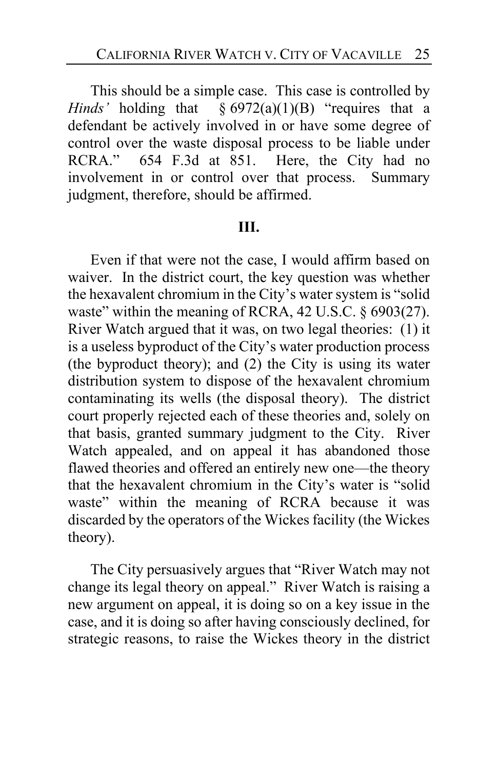This should be a simple case. This case is controlled by *Hinds'* holding that § 6972(a)(1)(B) "requires that a defendant be actively involved in or have some degree of control over the waste disposal process to be liable under<br>RCRA." 654 F.3d at 851. Here, the City had no 654 F.3d at 851. Here, the City had no involvement in or control over that process. Summary judgment, therefore, should be affirmed.

#### **III.**

Even if that were not the case, I would affirm based on waiver. In the district court, the key question was whether the hexavalent chromium in the City's water system is "solid waste" within the meaning of RCRA, 42 U.S.C. § 6903(27). River Watch argued that it was, on two legal theories: (1) it is a useless byproduct of the City's water production process (the byproduct theory); and (2) the City is using its water distribution system to dispose of the hexavalent chromium contaminating its wells (the disposal theory). The district court properly rejected each of these theories and, solely on that basis, granted summary judgment to the City. River Watch appealed, and on appeal it has abandoned those flawed theories and offered an entirely new one—the theory that the hexavalent chromium in the City's water is "solid waste" within the meaning of RCRA because it was discarded by the operators of the Wickes facility (the Wickes theory).

The City persuasively argues that "River Watch may not change its legal theory on appeal." River Watch is raising a new argument on appeal, it is doing so on a key issue in the case, and it is doing so after having consciously declined, for strategic reasons, to raise the Wickes theory in the district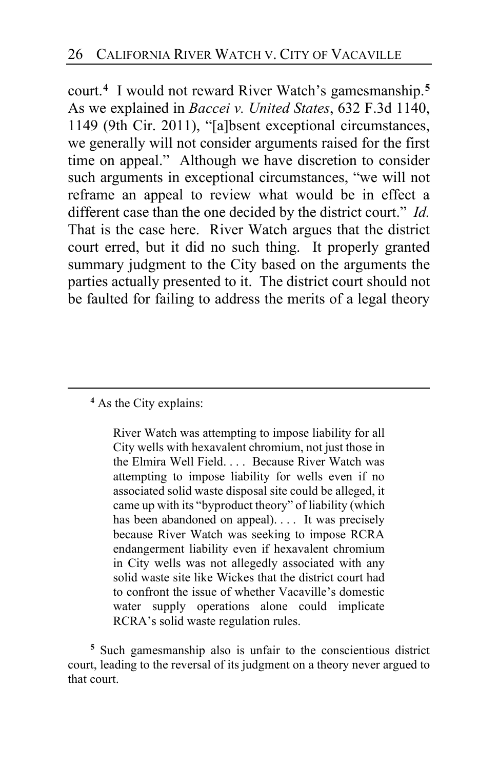court.**[4](#page-25-0)** I would not reward River Watch's gamesmanship. **[5](#page-25-1)** As we explained in *Baccei v. United States*, 632 F.3d 1140, 1149 (9th Cir. 2011), "[a]bsent exceptional circumstances, we generally will not consider arguments raised for the first time on appeal." Although we have discretion to consider such arguments in exceptional circumstances, "we will not reframe an appeal to review what would be in effect a different case than the one decided by the district court." *Id.* That is the case here. River Watch argues that the district court erred, but it did no such thing. It properly granted summary judgment to the City based on the arguments the parties actually presented to it. The district court should not be faulted for failing to address the merits of a legal theory

#### <span id="page-25-0"></span>**<sup>4</sup>** As the City explains:

River Watch was attempting to impose liability for all City wells with hexavalent chromium, not just those in the Elmira Well Field. . . . Because River Watch was attempting to impose liability for wells even if no associated solid waste disposal site could be alleged, it came up with its "byproduct theory" of liability (which has been abandoned on appeal).... It was precisely because River Watch was seeking to impose RCRA endangerment liability even if hexavalent chromium in City wells was not allegedly associated with any solid waste site like Wickes that the district court had to confront the issue of whether Vacaville's domestic water supply operations alone could implicate RCRA's solid waste regulation rules.

<span id="page-25-1"></span>**<sup>5</sup>** Such gamesmanship also is unfair to the conscientious district court, leading to the reversal of its judgment on a theory never argued to that court.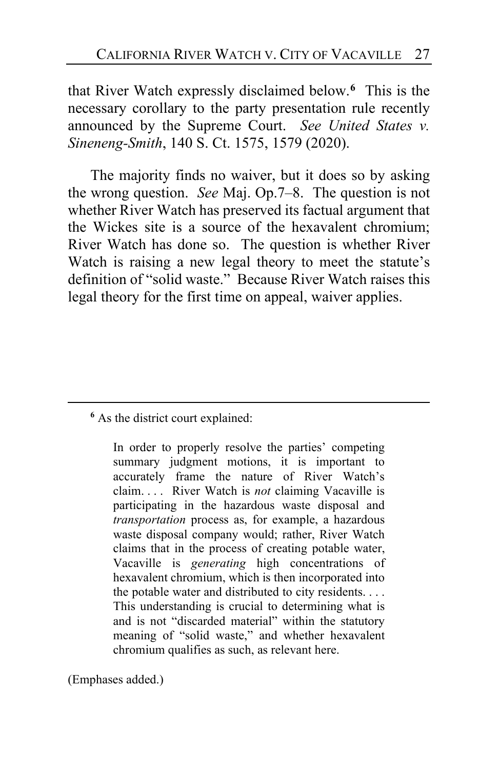that River Watch expressly disclaimed below.**[6](#page-26-0)** This is the necessary corollary to the party presentation rule recently announced by the Supreme Court. *See United States v. Sineneng-Smith*, 140 S. Ct. 1575, 1579 (2020).

The majority finds no waiver, but it does so by asking the wrong question. *See* Maj. Op.7–8. The question is not whether River Watch has preserved its factual argument that the Wickes site is a source of the hexavalent chromium; River Watch has done so. The question is whether River Watch is raising a new legal theory to meet the statute's definition of "solid waste." Because River Watch raises this legal theory for the first time on appeal, waiver applies.

(Emphases added.)

<span id="page-26-0"></span>**<sup>6</sup>** As the district court explained:

In order to properly resolve the parties' competing summary judgment motions, it is important to accurately frame the nature of River Watch's claim. . . . River Watch is *not* claiming Vacaville is participating in the hazardous waste disposal and *transportation* process as, for example, a hazardous waste disposal company would; rather, River Watch claims that in the process of creating potable water, Vacaville is *generating* high concentrations of hexavalent chromium, which is then incorporated into the potable water and distributed to city residents. . . . This understanding is crucial to determining what is and is not "discarded material" within the statutory meaning of "solid waste," and whether hexavalent chromium qualifies as such, as relevant here.